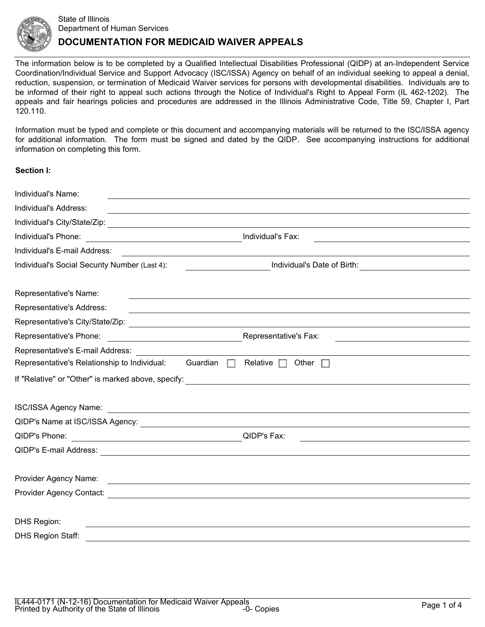

# State of Illinois Department of Human Services **DOCUMENTATION FOR MEDICAID WAIVER APPEALS**

The information below is to be completed by a Qualified Intellectual Disabilities Professional (QIDP) at an-Independent Service Coordination/Individual Service and Support Advocacy (ISC/ISSA) Agency on behalf of an individual seeking to appeal a denial, reduction, suspension, or termination of Medicaid Waiver services for persons with developmental disabilities. Individuals are to be informed of their right to appeal such actions through the Notice of Individual's Right to Appeal Form (IL 462-1202). The appeals and fair hearings policies and procedures are addressed in the Illinois Administrative Code, Title 59, Chapter I, Part 120.110.

Information must be typed and complete or this document and accompanying materials will be returned to the ISC/ISSA agency for additional information. The form must be signed and dated by the QIDP. See accompanying instructions for additional information on completing this form.

### **Section I:**

| Individual's Name:<br>and the control of the control of the control of the control of the control of the control of the control of the         |                                                                                                                  |
|------------------------------------------------------------------------------------------------------------------------------------------------|------------------------------------------------------------------------------------------------------------------|
| Individual's Address:                                                                                                                          | <u> 1989 - Johann Stoff, amerikansk politiker (d. 1989)</u>                                                      |
|                                                                                                                                                |                                                                                                                  |
| Individual's Phone:<br><u> 1989 - Johann Stoff, fransk politik (d. 1989)</u>                                                                   | Individual's Fax:<br>the control of the control of the control of the control of the control of the control of   |
| Individual's E-mail Address:                                                                                                                   |                                                                                                                  |
| Individual's Social Security Number (Last 4):                                                                                                  | <u>_______________________</u> Individual's Date of Birth: ____________________________                          |
| Representative's Name:                                                                                                                         | <u> 1989 - Johann Stoff, amerikansk politiker (d. 1989)</u>                                                      |
| Representative's Address:                                                                                                                      | and the control of the control of the control of the control of the control of the control of the control of the |
|                                                                                                                                                |                                                                                                                  |
| Representative's Phone:<br><u> 1980 - Johann Barn, mars eta bainar eta baina eta baina eta baina eta baina eta baina eta baina eta baina e</u> | Representative's Fax:                                                                                            |
| Representative's E-mail Address:                                                                                                               |                                                                                                                  |
| Representative's Relationship to Individual:<br>Guardian<br>$\Box$                                                                             | Relative $\Box$<br>Other $\Box$                                                                                  |
| If "Relative" or "Other" is marked above, specify:                                                                                             | <u> 1989 - Johann Stein, mars and de Britannich (b. 1989)</u>                                                    |
|                                                                                                                                                |                                                                                                                  |
|                                                                                                                                                |                                                                                                                  |
| QIDP's Phone:<br><u> 1989 - Johann Barbara, martin amerikan basal dan berasal dan berasal dalam basal dalam basal dalam basal dala</u>         | QIDP's Fax:                                                                                                      |
|                                                                                                                                                |                                                                                                                  |
| Provider Agency Name:<br><u> Andreas Andreas Andreas Andreas Andreas Andreas Andreas Andreas Andreas Andreas Andreas Andreas Andreas Andr</u>  |                                                                                                                  |
|                                                                                                                                                |                                                                                                                  |
| DHS Region:                                                                                                                                    |                                                                                                                  |
| <b>DHS Region Staff:</b><br>and the control of the control of the control of the control of the control of the control of the control of the   |                                                                                                                  |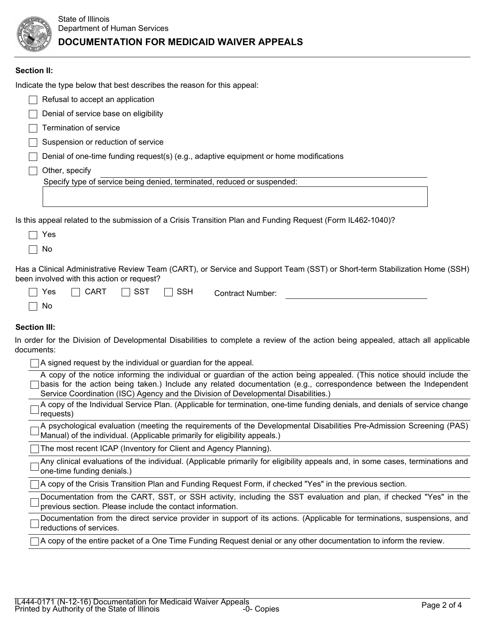

## **Section II:**

Indicate the type below that best describes the reason for this appeal:

|                                                                                                             | Refusal to accept an application                                                      |  |  |  |  |  |
|-------------------------------------------------------------------------------------------------------------|---------------------------------------------------------------------------------------|--|--|--|--|--|
|                                                                                                             | Denial of service base on eligibility                                                 |  |  |  |  |  |
|                                                                                                             | Termination of service                                                                |  |  |  |  |  |
|                                                                                                             | Suspension or reduction of service                                                    |  |  |  |  |  |
|                                                                                                             | Denial of one-time funding request(s) (e.g., adaptive equipment or home modifications |  |  |  |  |  |
|                                                                                                             | Other, specify                                                                        |  |  |  |  |  |
|                                                                                                             | Specify type of service being denied, terminated, reduced or suspended:               |  |  |  |  |  |
|                                                                                                             |                                                                                       |  |  |  |  |  |
| Is this appeal related to the submission of a Crisis Transition Plan and Funding Request (Form IL462-1040)? |                                                                                       |  |  |  |  |  |
|                                                                                                             | Yes                                                                                   |  |  |  |  |  |
|                                                                                                             | No.                                                                                   |  |  |  |  |  |

Has a Clinical Administrative Review Team (CART), or Service and Support Team (SST) or Short-term Stabilization Home (SSH) been involved with this action or request?

| Yes  | $\overline{\phantom{a}}$ CART $\overline{\phantom{a}}$ SST $\overline{\phantom{a}}$ SSH | <b>Contract Number:</b> |  |
|------|-----------------------------------------------------------------------------------------|-------------------------|--|
| - No |                                                                                         |                         |  |

### **Section III:**

In order for the Division of Developmental Disabilities to complete a review of the action being appealed, attach all applicable documents:

 $\Box$  A signed request by the individual or guardian for the appeal.

A copy of the notice informing the individual or guardian of the action being appealed. (This notice should include the basis for the action being taken.) Include any related documentation (e.g., correspondence between the Independent Service Coordination (ISC) Agency and the Division of Developmental Disabilities.)

A copy of the Individual Service Plan. (Applicable for termination, one-time funding denials, and denials of service change requests)

A psychological evaluation (meeting the requirements of the Developmental Disabilities Pre-Admission Screening (PAS) Manual) of the individual. (Applicable primarily for eligibility appeals.)

The most recent ICAP (Inventory for Client and Agency Planning).

Any clinical evaluations of the individual. (Applicable primarily for eligibility appeals and, in some cases, terminations and one-time funding denials.)

A copy of the Crisis Transition Plan and Funding Request Form, if checked "Yes" in the previous section.

Documentation from the CART, SST, or SSH activity, including the SST evaluation and plan, if checked "Yes" in the previous section. Please include the contact information.

Documentation from the direct service provider in support of its actions. (Applicable for terminations, suspensions, and reductions of services.

A copy of the entire packet of a One Time Funding Request denial or any other documentation to inform the review.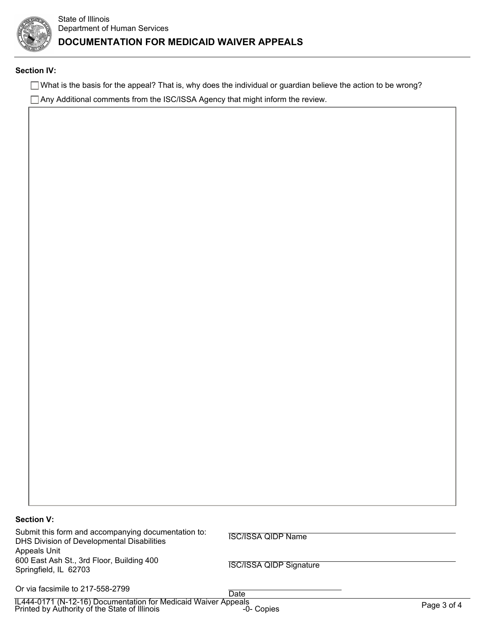

#### **Section IV:**

 $\Box$  What is the basis for the appeal? That is, why does the individual or guardian believe the action to be wrong?

Any Additional comments from the ISC/ISSA Agency that might inform the review.

## **Section V:**

Submit this form and accompanying documentation to: DHS Division of Developmental Disabilities Appeals Unit 600 East Ash St., 3rd Floor, Building 400 Springfield, IL 62703

ISC/ISSA QIDP Name

# ISC/ISSA QIDP Signature

Or via facsimile to 217-558-2799